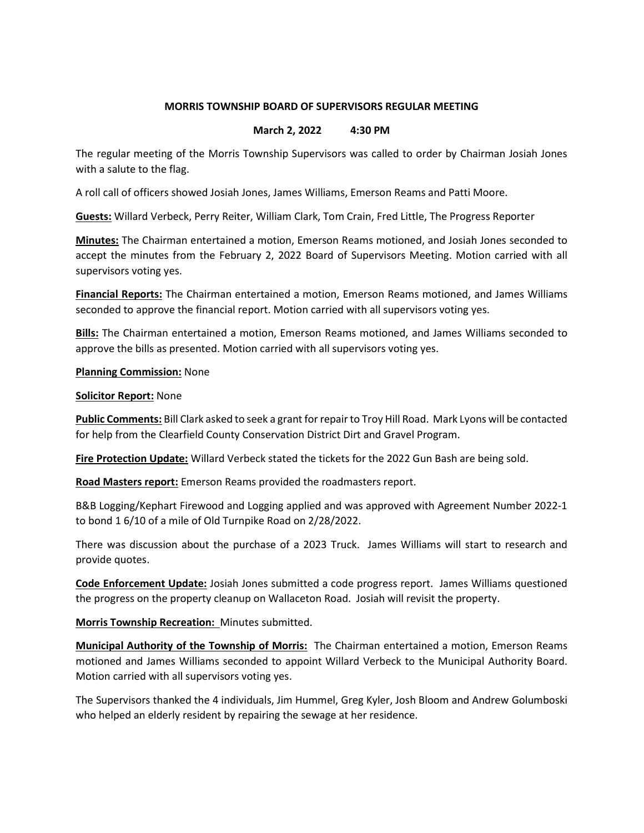# MORRIS TOWNSHIP BOARD OF SUPERVISORS REGULAR MEETING

# March 2, 2022 4:30 PM

The regular meeting of the Morris Township Supervisors was called to order by Chairman Josiah Jones with a salute to the flag.

A roll call of officers showed Josiah Jones, James Williams, Emerson Reams and Patti Moore.

Guests: Willard Verbeck, Perry Reiter, William Clark, Tom Crain, Fred Little, The Progress Reporter

Minutes: The Chairman entertained a motion, Emerson Reams motioned, and Josiah Jones seconded to accept the minutes from the February 2, 2022 Board of Supervisors Meeting. Motion carried with all supervisors voting yes.

Financial Reports: The Chairman entertained a motion, Emerson Reams motioned, and James Williams seconded to approve the financial report. Motion carried with all supervisors voting yes.

**Bills:** The Chairman entertained a motion, Emerson Reams motioned, and James Williams seconded to approve the bills as presented. Motion carried with all supervisors voting yes.

### Planning Commission: None

#### Solicitor Report: None

Public Comments: Bill Clark asked to seek a grant for repair to Troy Hill Road. Mark Lyons will be contacted for help from the Clearfield County Conservation District Dirt and Gravel Program.

Fire Protection Update: Willard Verbeck stated the tickets for the 2022 Gun Bash are being sold.

Road Masters report: Emerson Reams provided the roadmasters report.

B&B Logging/Kephart Firewood and Logging applied and was approved with Agreement Number 2022-1 to bond 1 6/10 of a mile of Old Turnpike Road on 2/28/2022.

There was discussion about the purchase of a 2023 Truck. James Williams will start to research and provide quotes.

Code Enforcement Update: Josiah Jones submitted a code progress report. James Williams questioned the progress on the property cleanup on Wallaceton Road. Josiah will revisit the property.

Morris Township Recreation: Minutes submitted.

**Municipal Authority of the Township of Morris:** The Chairman entertained a motion, Emerson Reams motioned and James Williams seconded to appoint Willard Verbeck to the Municipal Authority Board. Motion carried with all supervisors voting yes.

The Supervisors thanked the 4 individuals, Jim Hummel, Greg Kyler, Josh Bloom and Andrew Golumboski who helped an elderly resident by repairing the sewage at her residence.